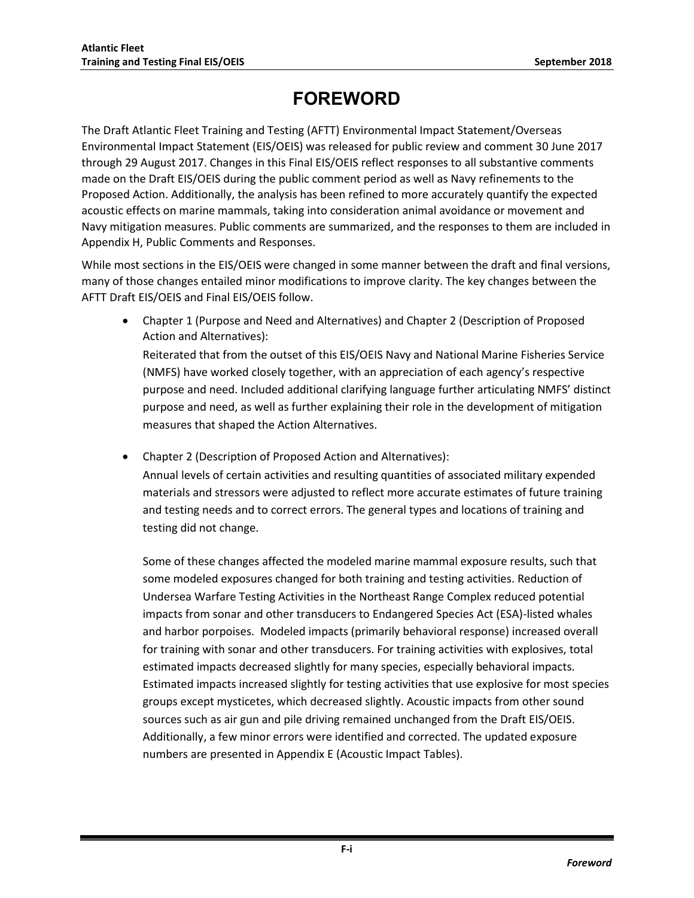# **FOREWORD**

The Draft Atlantic Fleet Training and Testing (AFTT) Environmental Impact Statement/Overseas Environmental Impact Statement (EIS/OEIS) was released for public review and comment 30 June 2017 through 29 August 2017. Changes in this Final EIS/OEIS reflect responses to all substantive comments made on the Draft EIS/OEIS during the public comment period as well as Navy refinements to the Proposed Action. Additionally, the analysis has been refined to more accurately quantify the expected acoustic effects on marine mammals, taking into consideration animal avoidance or movement and Navy mitigation measures. Public comments are summarized, and the responses to them are included in Appendix H, Public Comments and Responses.

While most sections in the EIS/OEIS were changed in some manner between the draft and final versions, many of those changes entailed minor modifications to improve clarity. The key changes between the AFTT Draft EIS/OEIS and Final EIS/OEIS follow.

 Chapter 1 (Purpose and Need and Alternatives) and Chapter 2 (Description of Proposed Action and Alternatives): Reiterated that from the outset of this EIS/OEIS Navy and National Marine Fisheries Service (NMFS) have worked closely together, with an appreciation of each agency's respective

purpose and need. Included additional clarifying language further articulating NMFS' distinct purpose and need, as well as further explaining their role in the development of mitigation measures that shaped the Action Alternatives.

Chapter 2 (Description of Proposed Action and Alternatives):

Annual levels of certain activities and resulting quantities of associated military expended materials and stressors were adjusted to reflect more accurate estimates of future training and testing needs and to correct errors. The general types and locations of training and testing did not change.

Some of these changes affected the modeled marine mammal exposure results, such that some modeled exposures changed for both training and testing activities. Reduction of Undersea Warfare Testing Activities in the Northeast Range Complex reduced potential impacts from sonar and other transducers to Endangered Species Act (ESA)-listed whales and harbor porpoises. Modeled impacts (primarily behavioral response) increased overall for training with sonar and other transducers. For training activities with explosives, total estimated impacts decreased slightly for many species, especially behavioral impacts. Estimated impacts increased slightly for testing activities that use explosive for most species groups except mysticetes, which decreased slightly. Acoustic impacts from other sound sources such as air gun and pile driving remained unchanged from the Draft EIS/OEIS. Additionally, a few minor errors were identified and corrected. The updated exposure numbers are presented in Appendix E (Acoustic Impact Tables).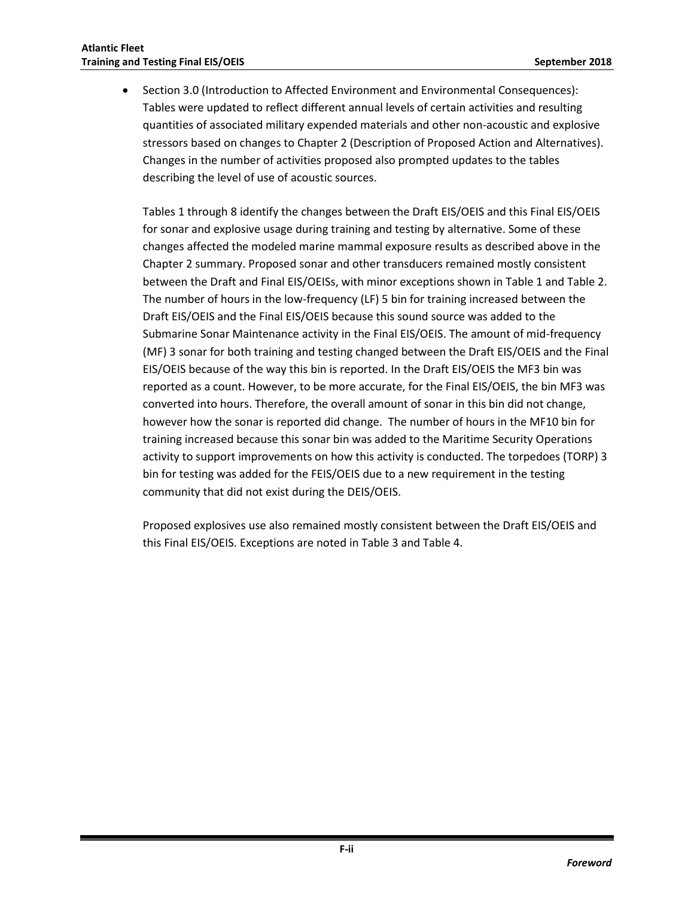Section 3.0 (Introduction to Affected Environment and Environmental Consequences): Tables were updated to reflect different annual levels of certain activities and resulting quantities of associated military expended materials and other non-acoustic and explosive stressors based on changes to Chapter 2 (Description of Proposed Action and Alternatives). Changes in the number of activities proposed also prompted updates to the tables describing the level of use of acoustic sources.

Tables 1 through 8 identify the changes between the Draft EIS/OEIS and this Final EIS/OEIS for sonar and explosive usage during training and testing by alternative. Some of these changes affected the modeled marine mammal exposure results as described above in the Chapter 2 summary. Proposed sonar and other transducers remained mostly consistent between the Draft and Final EIS/OEISs, with minor exceptions shown in Table 1 and Table 2. The number of hours in the low-frequency (LF) 5 bin for training increased between the Draft EIS/OEIS and the Final EIS/OEIS because this sound source was added to the Submarine Sonar Maintenance activity in the Final EIS/OEIS. The amount of mid-frequency (MF) 3 sonar for both training and testing changed between the Draft EIS/OEIS and the Final EIS/OEIS because of the way this bin is reported. In the Draft EIS/OEIS the MF3 bin was reported as a count. However, to be more accurate, for the Final EIS/OEIS, the bin MF3 was converted into hours. Therefore, the overall amount of sonar in this bin did not change, however how the sonar is reported did change. The number of hours in the MF10 bin for training increased because this sonar bin was added to the Maritime Security Operations activity to support improvements on how this activity is conducted. The torpedoes (TORP) 3 bin for testing was added for the FEIS/OEIS due to a new requirement in the testing community that did not exist during the DEIS/OEIS.

Proposed explosives use also remained mostly consistent between the Draft EIS/OEIS and this Final EIS/OEIS. Exceptions are noted in Table 3 and Table 4.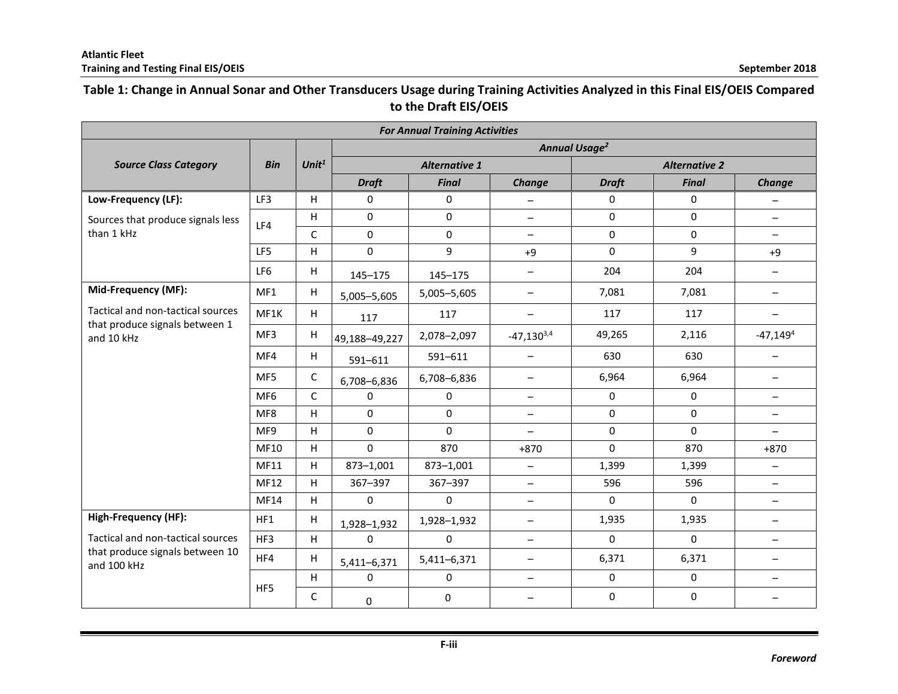## **Table 1: Change in Annual Sonar and Other Transducers Usage during Training Activities Analyzed in this Final EIS/OEIS Compared to the Draft EIS/OEIS**

| <b>For Annual Training Activities</b>                               |                 |              |                           |                      |                          |                      |              |                          |  |  |  |  |
|---------------------------------------------------------------------|-----------------|--------------|---------------------------|----------------------|--------------------------|----------------------|--------------|--------------------------|--|--|--|--|
|                                                                     |                 |              | Annual Usage <sup>2</sup> |                      |                          |                      |              |                          |  |  |  |  |
| <b>Source Class Category</b>                                        | <b>Bin</b>      | Unit $1$     |                           | <b>Alternative 1</b> |                          | <b>Alternative 2</b> |              |                          |  |  |  |  |
|                                                                     |                 |              | <b>Draft</b>              | <b>Final</b>         | Change                   | <b>Draft</b>         | <b>Final</b> | Change                   |  |  |  |  |
| Low-Frequency (LF):                                                 | LF3             | H            | $\pmb{0}$                 | $\mathbf 0$          | $\overline{\phantom{m}}$ | 0                    | 0            | $\qquad \qquad -$        |  |  |  |  |
| Sources that produce signals less                                   | LF4             | H            | $\Omega$                  | $\Omega$             | $\qquad \qquad -$        | 0                    | 0            | $\!-$                    |  |  |  |  |
| than 1 kHz                                                          |                 | C            | 0                         | 0                    | $\overline{\phantom{a}}$ | $\pmb{0}$            | 0            | $\qquad \qquad -$        |  |  |  |  |
|                                                                     | LF5             | H            | 0                         | 9                    | $+9$                     | 0                    | 9            | $+9$                     |  |  |  |  |
|                                                                     | LF6             | н            | 145-175                   | 145-175              | $\qquad \qquad -$        | 204                  | 204          | $\qquad \qquad -$        |  |  |  |  |
| Mid-Frequency (MF):                                                 | MF1             | H            | 5,005-5,605               | 5,005-5,605          | $\qquad \qquad -$        | 7,081                | 7,081        | $\qquad \qquad -$        |  |  |  |  |
| Tactical and non-tactical sources<br>that produce signals between 1 | MF1K            | H            | 117                       | 117                  | $\qquad \qquad -$        | 117                  | 117          | $\qquad \qquad -$        |  |  |  |  |
| and 10 kHz                                                          | MF3             | н            | 49,188-49,227             | 2,078-2,097          | $-47,130^{3,4}$          | 49,265               | 2,116        | $-47,1494$               |  |  |  |  |
|                                                                     | MF4             | H            | 591-611                   | 591-611              | $\qquad \qquad -$        | 630                  | 630          |                          |  |  |  |  |
|                                                                     | MF5             | C            | 6,708-6,836               | 6,708-6,836          | $\qquad \qquad -$        | 6,964                | 6,964        | $\qquad \qquad -$        |  |  |  |  |
|                                                                     | MF <sub>6</sub> | $\mathsf{C}$ | $\mathbf 0$               | 0                    | $\qquad \qquad -$        | $\mathbf 0$          | $\pmb{0}$    | $\qquad \qquad -$        |  |  |  |  |
|                                                                     | MF8             | H            | $\mathbf 0$               | $\Omega$             | $\overline{\phantom{0}}$ | $\mathbf 0$          | $\mathbf 0$  | $\qquad \qquad -$        |  |  |  |  |
|                                                                     | MF9             | H            | 0                         | $\mathbf 0$          | $\qquad \qquad -$        | $\pmb{0}$            | 0            | $\qquad \qquad -$        |  |  |  |  |
|                                                                     | MF10            | H            | $\mathbf 0$               | 870                  | $+870$                   | 0                    | 870          | $+870$                   |  |  |  |  |
|                                                                     | MF11            | H            | 873-1,001                 | 873-1,001            | $\overline{\phantom{m}}$ | 1,399                | 1,399        | $\qquad \qquad -$        |  |  |  |  |
|                                                                     | MF12            | H            | 367-397                   | 367-397              | $\overline{\phantom{0}}$ | 596                  | 596          | $\overline{\phantom{m}}$ |  |  |  |  |
|                                                                     | MF14            | H            | 0                         | 0                    | $\qquad \qquad -$        | $\Omega$             | 0            | $\overline{\phantom{m}}$ |  |  |  |  |
| <b>High-Frequency (HF):</b>                                         | HF1             | н            | 1,928-1,932               | 1,928-1,932          | $\qquad \qquad -$        | 1,935                | 1,935        | $\qquad \qquad -$        |  |  |  |  |
| Tactical and non-tactical sources                                   | HF3             | H            | 0                         | $\mathbf 0$          | $\overline{\phantom{a}}$ | 0                    | 0            | $\overline{\phantom{0}}$ |  |  |  |  |
| that produce signals between 10<br>and 100 kHz                      | HF4             | н            | 5,411-6,371               | 5,411-6,371          | $\qquad \qquad -$        | 6,371                | 6,371        | $\overline{\phantom{m}}$ |  |  |  |  |
|                                                                     |                 | H            | 0                         | $\mathbf 0$          | $\overline{\phantom{0}}$ | $\pmb{0}$            | $\pmb{0}$    | $\overline{\phantom{0}}$ |  |  |  |  |
|                                                                     | HF5             | C            | 0                         | $\mathbf 0$          |                          | 0                    | $\mathbf 0$  |                          |  |  |  |  |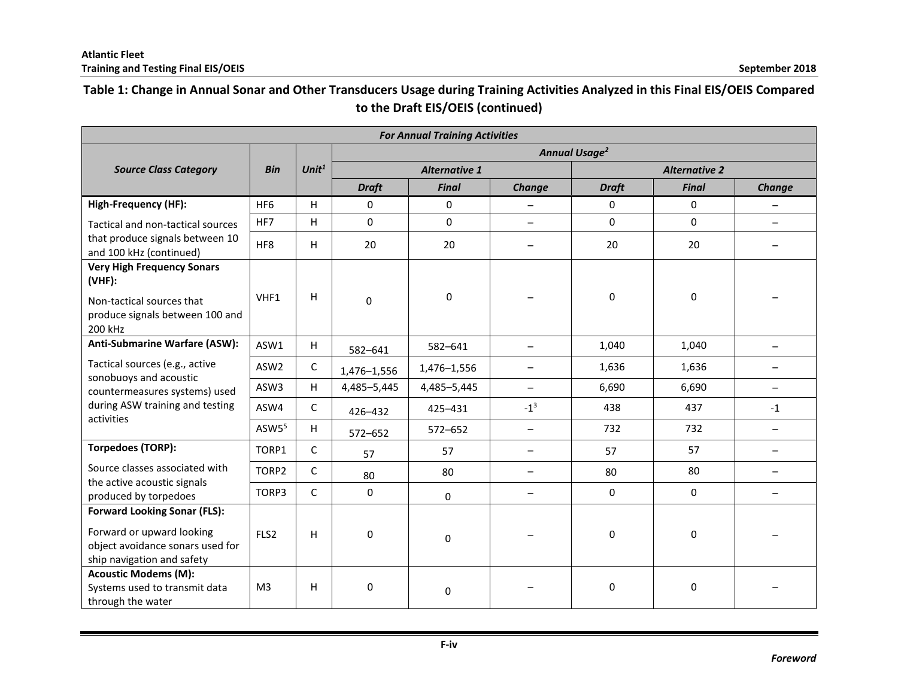# **Table 1: Change in Annual Sonar and Other Transducers Usage during Training Activities Analyzed in this Final EIS/OEIS Compared to the Draft EIS/OEIS (continued)**

| <b>For Annual Training Activities</b>                                                       |                                 |              |              |                      |                          |                      |                  |                          |  |  |  |
|---------------------------------------------------------------------------------------------|---------------------------------|--------------|--------------|----------------------|--------------------------|----------------------|------------------|--------------------------|--|--|--|
|                                                                                             | <b>Annual Usage<sup>2</sup></b> |              |              |                      |                          |                      |                  |                          |  |  |  |
| <b>Source Class Category</b>                                                                | <b>Bin</b>                      | Unit $1$     |              | <b>Alternative 1</b> |                          | <b>Alternative 2</b> |                  |                          |  |  |  |
|                                                                                             |                                 |              | <b>Draft</b> | <b>Final</b>         | Change                   | <b>Draft</b>         | <b>Final</b>     | Change                   |  |  |  |
| High-Frequency (HF):                                                                        | HF <sub>6</sub>                 | H            | 0            | 0                    |                          | 0                    | 0                | $\qquad \qquad -$        |  |  |  |
| Tactical and non-tactical sources                                                           | HF7                             | H            | 0            | $\Omega$             |                          | $\Omega$             | 0                | $\overline{\phantom{0}}$ |  |  |  |
| that produce signals between 10<br>and 100 kHz (continued)                                  | HF8                             | H            | 20           | 20                   |                          | 20                   | 20               |                          |  |  |  |
| <b>Very High Frequency Sonars</b><br>$(VHF)$ :                                              |                                 |              |              |                      |                          |                      |                  |                          |  |  |  |
| Non-tactical sources that<br>produce signals between 100 and<br>200 kHz                     | VHF1                            | H            | $\Omega$     | 0                    |                          | $\mathbf{0}$         | 0                |                          |  |  |  |
| Anti-Submarine Warfare (ASW):                                                               | ASW1                            | H            | 582-641      | 582-641              |                          | 1,040                | 1,040            |                          |  |  |  |
| Tactical sources (e.g., active                                                              | ASW2                            | C            | 1,476-1,556  | 1,476-1,556          | $\qquad \qquad -$        | 1,636                | 1,636            | -                        |  |  |  |
| sonobuoys and acoustic<br>countermeasures systems) used                                     | ASW3                            | H.           | 4,485-5,445  | 4,485-5,445          | $\overline{\phantom{0}}$ | 6,690                | 6,690            | $\overline{\phantom{0}}$ |  |  |  |
| during ASW training and testing                                                             | ASW4                            | $\mathsf{C}$ | 426-432      | 425-431              | $-1^3$                   | 438                  | 437              | $-1$                     |  |  |  |
| activities                                                                                  | ASW <sub>55</sub>               | H.           | 572-652      | 572-652              | $\qquad \qquad -$        | 732                  | 732              | $\qquad \qquad -$        |  |  |  |
| <b>Torpedoes (TORP):</b>                                                                    | TORP1                           | $\mathsf{C}$ | 57           | 57                   | $\overline{\phantom{0}}$ | 57                   | 57               | $\qquad \qquad -$        |  |  |  |
| Source classes associated with                                                              | TORP2                           | C            | 80           | 80                   | $\qquad \qquad -$        | 80                   | 80               | $\qquad \qquad$          |  |  |  |
| the active acoustic signals<br>produced by torpedoes                                        | TORP3                           | C            | $\mathbf 0$  | 0                    |                          | $\mathbf 0$          | $\mathbf 0$      | $\qquad \qquad -$        |  |  |  |
| <b>Forward Looking Sonar (FLS):</b>                                                         |                                 |              |              |                      |                          |                      |                  |                          |  |  |  |
| Forward or upward looking<br>object avoidance sonars used for<br>ship navigation and safety | FLS2                            | H            | $\mathbf 0$  | $\pmb{0}$            |                          | 0                    | $\mathbf 0$      |                          |  |  |  |
| <b>Acoustic Modems (M):</b><br>Systems used to transmit data<br>through the water           | M <sub>3</sub>                  | H            | 0            | 0                    |                          | 0                    | $\boldsymbol{0}$ |                          |  |  |  |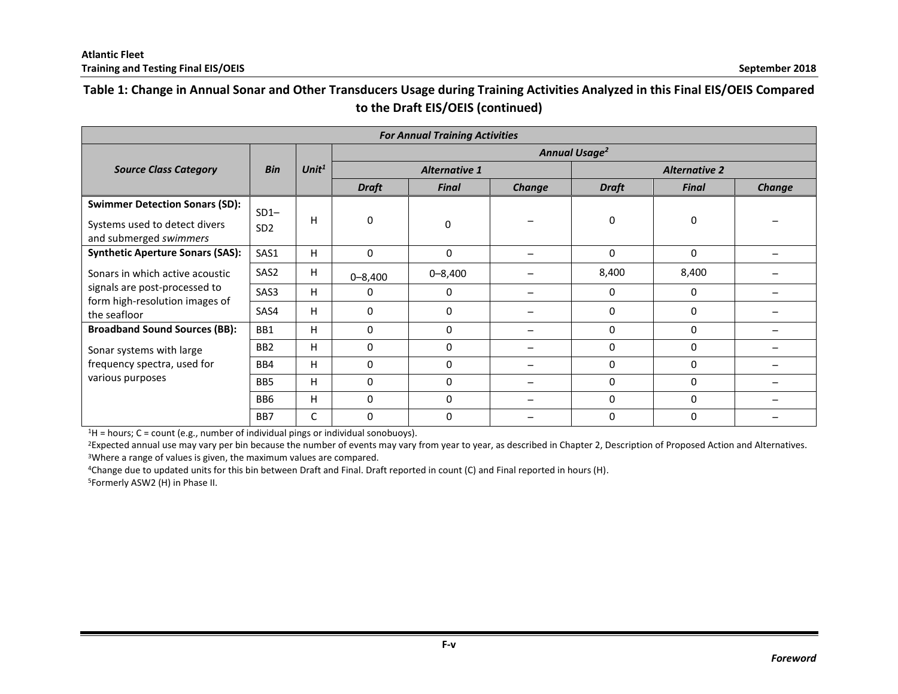## **Table 1: Change in Annual Sonar and Other Transducers Usage during Training Activities Analyzed in this Final EIS/OEIS Compared to the Draft EIS/OEIS (continued)**

| <b>For Annual Training Activities</b>                                                            |                           |          |                           |                      |        |                      |              |        |  |  |  |
|--------------------------------------------------------------------------------------------------|---------------------------|----------|---------------------------|----------------------|--------|----------------------|--------------|--------|--|--|--|
|                                                                                                  |                           | Unit $1$ | Annual Usage <sup>2</sup> |                      |        |                      |              |        |  |  |  |
| <b>Source Class Category</b>                                                                     | <b>Bin</b>                |          |                           | <b>Alternative 1</b> |        | <b>Alternative 2</b> |              |        |  |  |  |
|                                                                                                  |                           |          | <b>Draft</b>              | <b>Final</b>         | Change | <b>Draft</b>         | <b>Final</b> | Change |  |  |  |
| <b>Swimmer Detection Sonars (SD):</b><br>Systems used to detect divers<br>and submerged swimmers | $SD1-$<br>SD <sub>2</sub> | H        | $\mathbf 0$               | 0                    |        | 0                    | 0            |        |  |  |  |
| <b>Synthetic Aperture Sonars (SAS):</b>                                                          | SAS1                      | н        | 0                         | 0                    |        | 0                    | 0            |        |  |  |  |
| Sonars in which active acoustic                                                                  | SAS <sub>2</sub>          | H        | $0 - 8,400$               | $0 - 8,400$          |        | 8,400                | 8,400        |        |  |  |  |
| signals are post-processed to                                                                    | SAS3                      | H.       | $\Omega$                  | 0                    |        | 0                    | $\Omega$     |        |  |  |  |
| form high-resolution images of<br>the seafloor                                                   | SAS4                      | H        | 0                         | 0                    |        | 0                    | 0            |        |  |  |  |
| <b>Broadband Sound Sources (BB):</b>                                                             | BB1                       | н        | $\Omega$                  | $\Omega$             |        | 0                    | 0            |        |  |  |  |
| Sonar systems with large                                                                         | BB <sub>2</sub>           | н        | $\Omega$                  | $\Omega$             |        | 0                    | $\Omega$     |        |  |  |  |
| frequency spectra, used for                                                                      | BB4                       | H        | $\Omega$                  | $\Omega$             |        | 0                    | 0            |        |  |  |  |
| various purposes                                                                                 | BB <sub>5</sub>           | H        | 0                         | 0                    |        | 0                    | 0            |        |  |  |  |
|                                                                                                  | BB <sub>6</sub>           | н        | $\Omega$                  | $\Omega$             |        | 0                    | $\Omega$     |        |  |  |  |
|                                                                                                  | BB7                       | C        | $\Omega$                  | 0                    |        | 0                    | $\Omega$     |        |  |  |  |

 $1H =$  hours; C = count (e.g., number of individual pings or individual sonobuoys).

<sup>2</sup>Expected annual use may vary per bin because the number of events may vary from year to year, as described in Chapter 2, Description of Proposed Action and Alternatives. <sup>3</sup>Where a range of values is given, the maximum values are compared.

<sup>4</sup>Change due to updated units for this bin between Draft and Final. Draft reported in count (C) and Final reported in hours (H).

5Formerly ASW2 (H) in Phase II.

**F-v**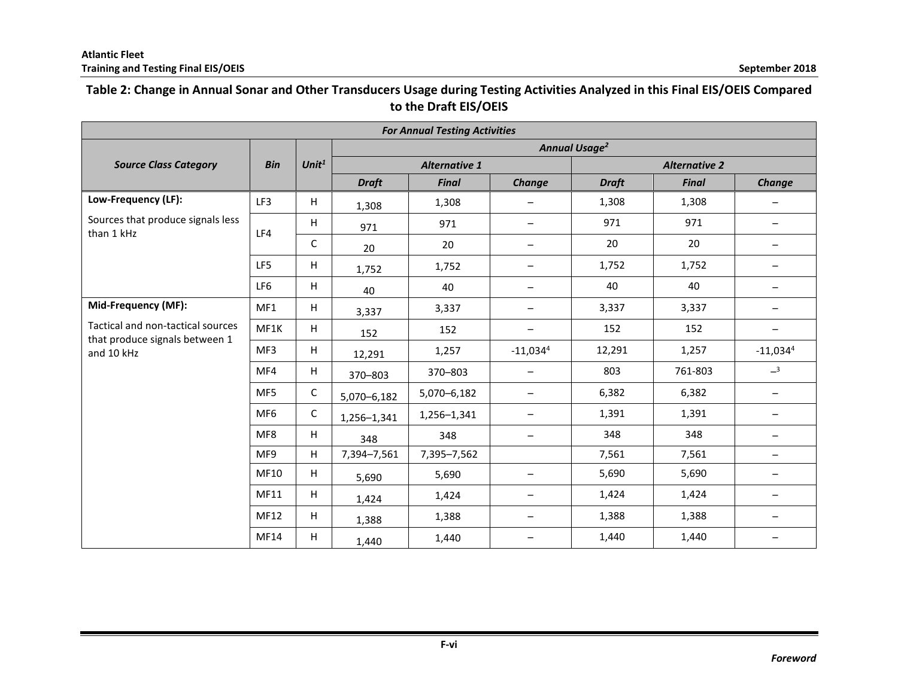### **Table 2: Change in Annual Sonar and Other Transducers Usage during Testing Activities Analyzed in this Final EIS/OEIS Compared to the Draft EIS/OEIS**

| <b>For Annual Testing Activities</b>                                |                 |             |                                 |                      |                   |              |                      |                                 |  |  |
|---------------------------------------------------------------------|-----------------|-------------|---------------------------------|----------------------|-------------------|--------------|----------------------|---------------------------------|--|--|
|                                                                     |                 |             | <b>Annual Usage<sup>2</sup></b> |                      |                   |              |                      |                                 |  |  |
| <b>Source Class Category</b>                                        | <b>Bin</b>      | Unit $1$    |                                 | <b>Alternative 1</b> |                   |              | <b>Alternative 2</b> |                                 |  |  |
|                                                                     |                 |             | <b>Draft</b>                    | <b>Final</b>         | Change            | <b>Draft</b> | <b>Final</b>         | Change                          |  |  |
| Low-Frequency (LF):                                                 | LF3             | H           | 1,308                           | 1,308                | $\qquad \qquad -$ | 1,308        | 1,308                | $\overbrace{\phantom{1232211}}$ |  |  |
| Sources that produce signals less<br>than 1 kHz                     | LF4             | H           | 971                             | 971                  | $\qquad \qquad -$ | 971          | 971                  |                                 |  |  |
|                                                                     |                 | C           | 20                              | 20                   | $\qquad \qquad -$ | 20           | 20                   | $\qquad \qquad$                 |  |  |
|                                                                     | LF5             | н           | 1,752                           | 1,752                | $\qquad \qquad -$ | 1,752        | 1,752                | $\overline{\phantom{0}}$        |  |  |
|                                                                     | LF6             | H           | 40                              | 40                   | $\qquad \qquad$   | 40           | 40                   | $\overline{\phantom{0}}$        |  |  |
| Mid-Frequency (MF):                                                 | MF1             | H           | 3,337                           | 3,337                | $\qquad \qquad -$ | 3,337        | 3,337                | $\qquad \qquad -$               |  |  |
| Tactical and non-tactical sources<br>that produce signals between 1 | MF1K            | н           | 152                             | 152                  | $\qquad \qquad -$ | 152          | 152                  | $\qquad \qquad -$               |  |  |
| and 10 kHz                                                          | MF3             | H           | 12,291                          | 1,257                | $-11,034^4$       | 12,291       | 1,257                | $-11,034^4$                     |  |  |
|                                                                     | MF4             | H           | 370-803                         | 370-803              | $\qquad \qquad -$ | 803          | 761-803              | $-3$                            |  |  |
|                                                                     | MF <sub>5</sub> | $\mathsf C$ | 5,070-6,182                     | 5,070-6,182          | $\qquad \qquad -$ | 6,382        | 6,382                | $\qquad \qquad -$               |  |  |
|                                                                     | MF <sub>6</sub> | C           | 1,256-1,341                     | 1,256-1,341          | $\qquad \qquad -$ | 1,391        | 1,391                | $\overline{\phantom{0}}$        |  |  |
|                                                                     | MF8             | H           | 348                             | 348                  | $\qquad \qquad -$ | 348          | 348                  |                                 |  |  |
|                                                                     | MF9             | H           | 7,394-7,561                     | 7,395-7,562          |                   | 7,561        | 7,561                | $\qquad \qquad -$               |  |  |
|                                                                     | MF10            | H           | 5,690                           | 5,690                |                   | 5,690        | 5,690                |                                 |  |  |
|                                                                     | MF11            | н           | 1,424                           | 1,424                | $\qquad \qquad -$ | 1,424        | 1,424                |                                 |  |  |
|                                                                     | MF12            | н           | 1,388                           | 1,388                | $\qquad \qquad -$ | 1,388        | 1,388                |                                 |  |  |
|                                                                     | MF14            | H           | 1,440                           | 1,440                | $\qquad \qquad -$ | 1,440        | 1,440                |                                 |  |  |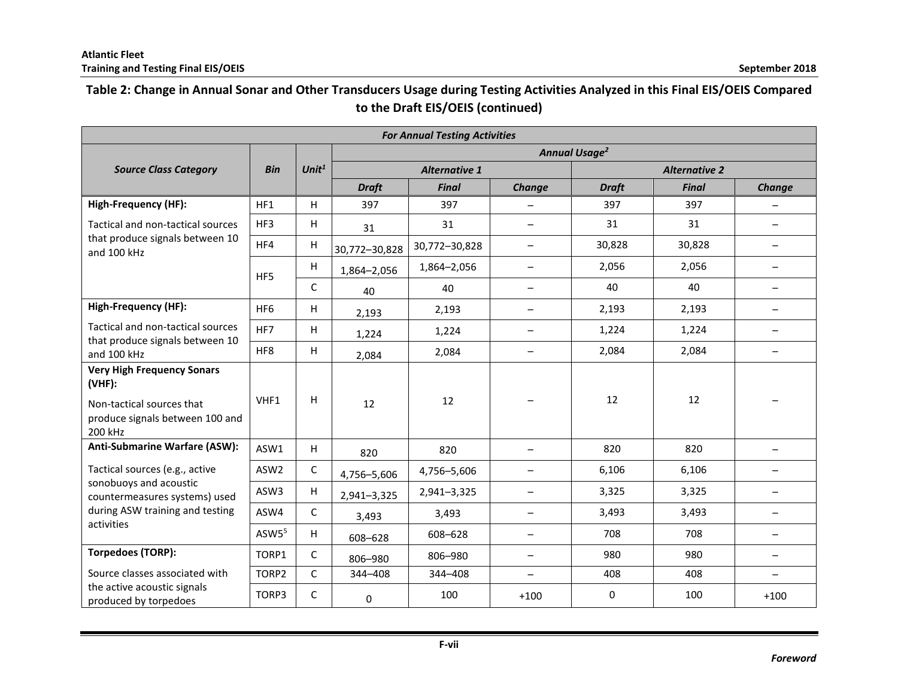# **Table 2: Change in Annual Sonar and Other Transducers Usage during Testing Activities Analyzed in this Final EIS/OEIS Compared to the Draft EIS/OEIS (continued)**

| <b>For Annual Testing Activities</b>                                                                                      |                                 |                   |                      |               |                          |                      |              |                          |  |  |  |
|---------------------------------------------------------------------------------------------------------------------------|---------------------------------|-------------------|----------------------|---------------|--------------------------|----------------------|--------------|--------------------------|--|--|--|
|                                                                                                                           | <b>Annual Usage<sup>2</sup></b> |                   |                      |               |                          |                      |              |                          |  |  |  |
| <b>Source Class Category</b>                                                                                              | <b>Bin</b>                      | Unit <sup>1</sup> | <b>Alternative 1</b> |               |                          | <b>Alternative 2</b> |              |                          |  |  |  |
|                                                                                                                           |                                 |                   | <b>Draft</b>         | <b>Final</b>  | Change                   | <b>Draft</b>         | <b>Final</b> | Change                   |  |  |  |
| <b>High-Frequency (HF):</b>                                                                                               | HF1                             | H                 | 397                  | 397           |                          | 397                  | 397          |                          |  |  |  |
| Tactical and non-tactical sources                                                                                         | HF3                             | H                 | 31                   | 31            | -                        | 31                   | 31           |                          |  |  |  |
| that produce signals between 10<br>and 100 kHz                                                                            | HF4                             | H                 | 30,772-30,828        | 30,772-30,828 | $\qquad \qquad -$        | 30,828               | 30,828       | $\qquad \qquad -$        |  |  |  |
|                                                                                                                           | HF <sub>5</sub>                 | н                 | 1,864-2,056          | 1,864-2,056   | $\qquad \qquad -$        | 2,056                | 2,056        | $\qquad \qquad -$        |  |  |  |
|                                                                                                                           |                                 | C                 | 40                   | 40            | $\overline{\phantom{0}}$ | 40                   | 40           |                          |  |  |  |
| <b>High-Frequency (HF):</b>                                                                                               | HF <sub>6</sub>                 | H                 | 2,193                | 2,193         | $\qquad \qquad -$        | 2,193                | 2,193        | $\qquad \qquad -$        |  |  |  |
| Tactical and non-tactical sources<br>that produce signals between 10                                                      | HF7                             | н                 | 1,224                | 1,224         | $\qquad \qquad -$        | 1,224                | 1,224        | $\qquad \qquad -$        |  |  |  |
| and 100 kHz                                                                                                               | HF8                             | H                 | 2,084                | 2,084         | $\qquad \qquad$          | 2,084                | 2,084        |                          |  |  |  |
| <b>Very High Frequency Sonars</b><br>$(VHF)$ :<br>Non-tactical sources that<br>produce signals between 100 and<br>200 kHz | VHF1                            | н                 | 12                   | 12            |                          | 12                   | 12           |                          |  |  |  |
| Anti-Submarine Warfare (ASW):                                                                                             | ASW1                            | н                 | 820                  | 820           |                          | 820                  | 820          |                          |  |  |  |
| Tactical sources (e.g., active                                                                                            | ASW <sub>2</sub>                | C                 | 4,756-5,606          | 4,756-5,606   | $\qquad \qquad -$        | 6,106                | 6,106        |                          |  |  |  |
| sonobuoys and acoustic<br>countermeasures systems) used                                                                   | ASW3                            | н                 | 2,941-3,325          | 2,941-3,325   | $\qquad \qquad -$        | 3,325                | 3,325        | $\overline{\phantom{0}}$ |  |  |  |
| during ASW training and testing                                                                                           | ASW4                            | $\mathsf{C}$      | 3,493                | 3,493         | $\qquad \qquad -$        | 3,493                | 3,493        |                          |  |  |  |
| activities                                                                                                                | ASW5 <sup>5</sup>               | H                 | 608-628              | 608-628       | -                        | 708                  | 708          |                          |  |  |  |
| <b>Torpedoes (TORP):</b>                                                                                                  | TORP1                           | $\mathsf{C}$      | 806-980              | 806-980       | $\qquad \qquad -$        | 980                  | 980          | $\overline{\phantom{0}}$ |  |  |  |
| Source classes associated with                                                                                            | TORP2                           | C                 | 344-408              | 344-408       | $\qquad \qquad -$        | 408                  | 408          | $\overline{\phantom{0}}$ |  |  |  |
| the active acoustic signals<br>produced by torpedoes                                                                      | TORP3                           | C                 | 0                    | 100           | $+100$                   | 0                    | 100          | $+100$                   |  |  |  |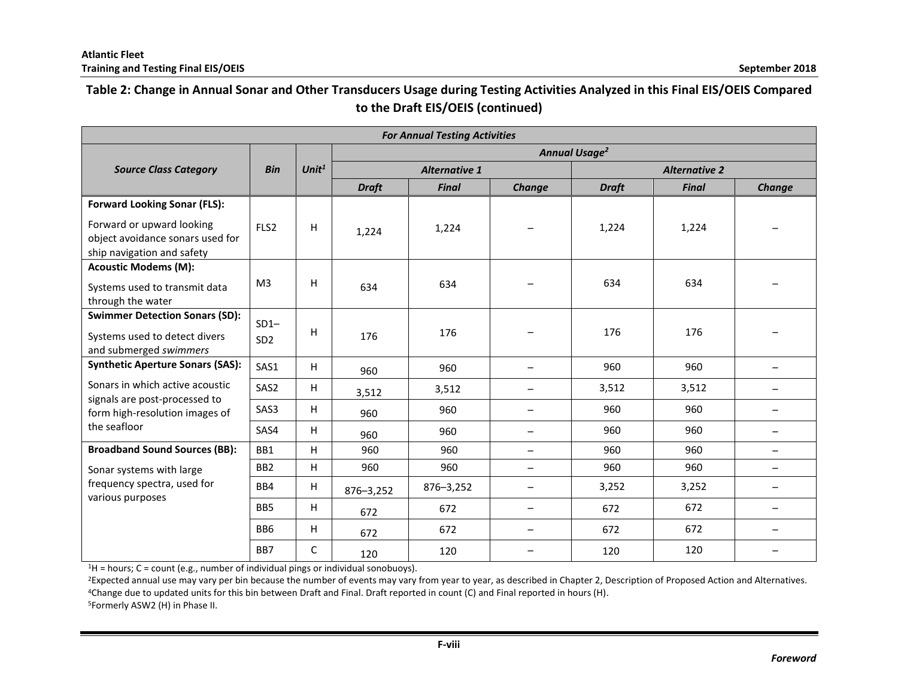## **Table 2: Change in Annual Sonar and Other Transducers Usage during Testing Activities Analyzed in this Final EIS/OEIS Compared to the Draft EIS/OEIS (continued)**

| <b>For Annual Testing Activities</b>                                                        |                  |          |                                 |                      |                          |                      |              |                                 |  |  |  |
|---------------------------------------------------------------------------------------------|------------------|----------|---------------------------------|----------------------|--------------------------|----------------------|--------------|---------------------------------|--|--|--|
|                                                                                             |                  |          | <b>Annual Usage<sup>2</sup></b> |                      |                          |                      |              |                                 |  |  |  |
| <b>Source Class Category</b>                                                                | <b>Bin</b>       | Unit $1$ |                                 | <b>Alternative 1</b> |                          | <b>Alternative 2</b> |              |                                 |  |  |  |
|                                                                                             |                  |          | <b>Draft</b>                    | <b>Final</b>         | Change                   | <b>Draft</b>         | <b>Final</b> | Change                          |  |  |  |
| <b>Forward Looking Sonar (FLS):</b>                                                         |                  |          |                                 |                      |                          |                      |              |                                 |  |  |  |
| Forward or upward looking<br>object avoidance sonars used for<br>ship navigation and safety | FLS <sub>2</sub> | H        | 1,224                           | 1,224                |                          | 1,224                | 1,224        |                                 |  |  |  |
| <b>Acoustic Modems (M):</b>                                                                 |                  |          |                                 |                      |                          |                      |              |                                 |  |  |  |
| Systems used to transmit data<br>through the water                                          | M <sub>3</sub>   | H        | 634                             | 634                  |                          | 634                  | 634          |                                 |  |  |  |
| <b>Swimmer Detection Sonars (SD):</b>                                                       | $SD1-$           |          |                                 |                      |                          |                      |              |                                 |  |  |  |
| Systems used to detect divers<br>and submerged swimmers                                     | SD <sub>2</sub>  | Н        | 176                             | 176                  |                          | 176                  | 176          |                                 |  |  |  |
| <b>Synthetic Aperture Sonars (SAS):</b>                                                     | SAS1             | H        | 960                             | 960                  |                          | 960                  | 960          |                                 |  |  |  |
| Sonars in which active acoustic<br>signals are post-processed to                            | SAS2             | H        | 3,512                           | 3,512                |                          | 3,512                | 3,512        |                                 |  |  |  |
| form high-resolution images of                                                              | SAS3             | H        | 960                             | 960                  |                          | 960                  | 960          | $\overline{\phantom{0}}$        |  |  |  |
| the seafloor                                                                                | SAS4             | H        | 960                             | 960                  | $\qquad \qquad$          | 960                  | 960          | $\qquad \qquad -$               |  |  |  |
| <b>Broadband Sound Sources (BB):</b>                                                        | BB1              | H        | 960                             | 960                  | $\qquad \qquad -$        | 960                  | 960          | $\qquad \qquad -$               |  |  |  |
| Sonar systems with large                                                                    | BB <sub>2</sub>  | H        | 960                             | 960                  | $\qquad \qquad$          | 960                  | 960          | $\overline{\phantom{m}}$        |  |  |  |
| frequency spectra, used for<br>various purposes                                             | BB4              | H        | 876-3,252                       | 876-3,252            | $\qquad \qquad$          | 3,252                | 3,252        | $\qquad \qquad -$               |  |  |  |
|                                                                                             | BB <sub>5</sub>  | H        | 672                             | 672                  | $\qquad \qquad -$        | 672                  | 672          | $\overbrace{\phantom{1232211}}$ |  |  |  |
|                                                                                             | BB <sub>6</sub>  | H        | 672                             | 672                  | $\overline{\phantom{0}}$ | 672                  | 672          | $\qquad \qquad$                 |  |  |  |
|                                                                                             | BB7              | C        | 120                             | 120                  |                          | 120                  | 120          |                                 |  |  |  |

 $1H =$  hours; C = count (e.g., number of individual pings or individual sonobuoys).

<sup>2</sup>Expected annual use may vary per bin because the number of events may vary from year to year, as described in Chapter 2, Description of Proposed Action and Alternatives. <sup>4</sup>Change due to updated units for this bin between Draft and Final. Draft reported in count (C) and Final reported in hours (H).

5Formerly ASW2 (H) in Phase II.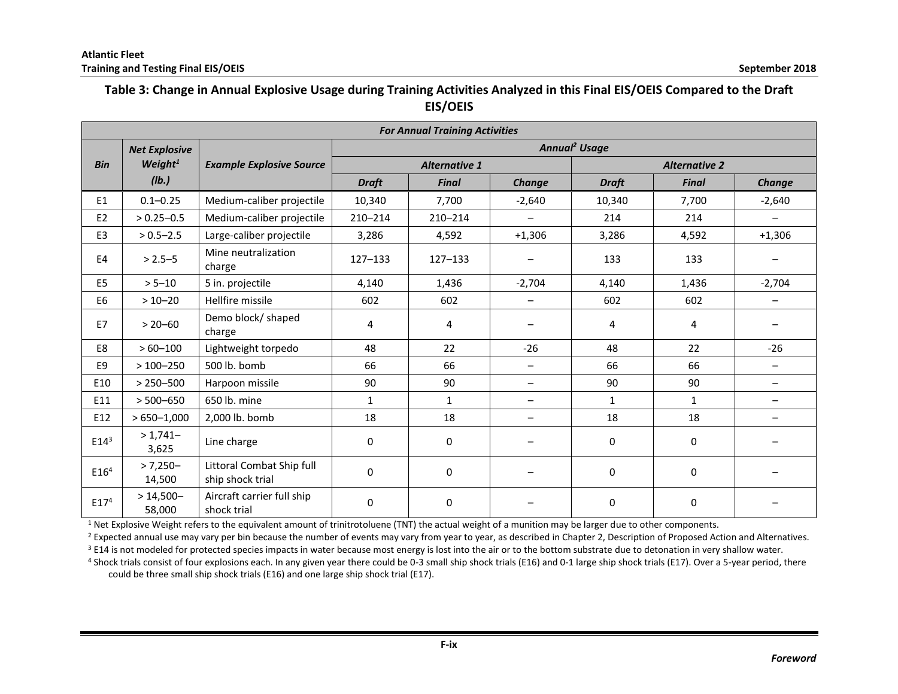### **Table 3: Change in Annual Explosive Usage during Training Activities Analyzed in this Final EIS/OEIS Compared to the Draft EIS/OEIS**

|                  | <b>For Annual Training Activities</b> |                                               |                           |                      |                          |                      |              |                          |  |  |  |
|------------------|---------------------------------------|-----------------------------------------------|---------------------------|----------------------|--------------------------|----------------------|--------------|--------------------------|--|--|--|
|                  | <b>Net Explosive</b>                  |                                               | Annual <sup>2</sup> Usage |                      |                          |                      |              |                          |  |  |  |
| <b>Bin</b>       | Weight $1$                            | <b>Example Explosive Source</b>               |                           | <b>Alternative 1</b> |                          | <b>Alternative 2</b> |              |                          |  |  |  |
|                  | $($ lb. $)$                           |                                               | <b>Draft</b>              | <b>Final</b>         | Change                   | <b>Draft</b>         | <b>Final</b> | Change                   |  |  |  |
| E1               | $0.1 - 0.25$                          | Medium-caliber projectile                     | 10,340                    | 7,700                | $-2,640$                 | 10,340               | 7,700        | $-2,640$                 |  |  |  |
| E <sub>2</sub>   | $> 0.25 - 0.5$                        | Medium-caliber projectile                     | 210-214                   | $210 - 214$          | $\qquad \qquad -$        | 214                  | 214          | $\overline{\phantom{m}}$ |  |  |  |
| E3               | $> 0.5 - 2.5$                         | Large-caliber projectile                      | 3,286                     | 4,592                | $+1,306$                 | 3,286                | 4,592        | $+1,306$                 |  |  |  |
| E <sub>4</sub>   | $> 2.5 - 5$                           | Mine neutralization<br>charge                 | $127 - 133$               | $127 - 133$          |                          | 133                  | 133          |                          |  |  |  |
| E <sub>5</sub>   | $> 5 - 10$                            | 5 in. projectile                              | 4,140                     | 1,436                | $-2,704$                 | 4,140                | 1,436        | $-2,704$                 |  |  |  |
| E <sub>6</sub>   | $>10 - 20$                            | Hellfire missile                              | 602                       | 602                  |                          | 602                  | 602          |                          |  |  |  |
| E7               | $> 20 - 60$                           | Demo block/ shaped<br>charge                  | 4                         | 4                    |                          | 4                    | 4            |                          |  |  |  |
| E8               | $>60 - 100$                           | Lightweight torpedo                           | 48                        | 22                   | $-26$                    | 48                   | 22           | $-26$                    |  |  |  |
| E9               | $>100 - 250$                          | 500 lb. bomb                                  | 66                        | 66                   | $\qquad \qquad -$        | 66                   | 66           | $\overline{\phantom{m}}$ |  |  |  |
| E10              | $> 250 - 500$                         | Harpoon missile                               | 90                        | 90                   | $\overline{\phantom{0}}$ | 90                   | 90           | $\qquad \qquad -$        |  |  |  |
| E11              | $> 500 - 650$                         | 650 lb. mine                                  | $\mathbf{1}$              | $\mathbf{1}$         | $\overline{\phantom{0}}$ | $\mathbf{1}$         | $\mathbf{1}$ |                          |  |  |  |
| E12              | $>650 - 1,000$                        | 2,000 lb. bomb                                | 18                        | 18                   | —                        | 18                   | 18           | $\overline{\phantom{m}}$ |  |  |  |
| $E14^3$          | $>1,741-$<br>3,625                    | Line charge                                   | $\mathbf 0$               | $\mathbf 0$          |                          | 0                    | 0            |                          |  |  |  |
| E16 <sup>4</sup> | $> 7,250-$<br>14,500                  | Littoral Combat Ship full<br>ship shock trial | $\mathbf 0$               | $\mathbf 0$          |                          | 0                    | 0            |                          |  |  |  |
| E17 <sup>4</sup> | $>14,500-$<br>58,000                  | Aircraft carrier full ship<br>shock trial     | $\Omega$                  | $\Omega$             |                          | 0                    | $\mathbf 0$  |                          |  |  |  |

<sup>1</sup> Net Explosive Weight refers to the equivalent amount of trinitrotoluene (TNT) the actual weight of a munition may be larger due to other components.

<sup>2</sup> Expected annual use may vary per bin because the number of events may vary from year to year, as described in Chapter 2, Description of Proposed Action and Alternatives.

<sup>3</sup> E14 is not modeled for protected species impacts in water because most energy is lost into the air or to the bottom substrate due to detonation in very shallow water.

4 Shock trials consist of four explosions each. In any given year there could be 0-3 small ship shock trials (E16) and 0-1 large ship shock trials (E17). Over a 5-year period, there could be three small ship shock trials (E16) and one large ship shock trial (E17).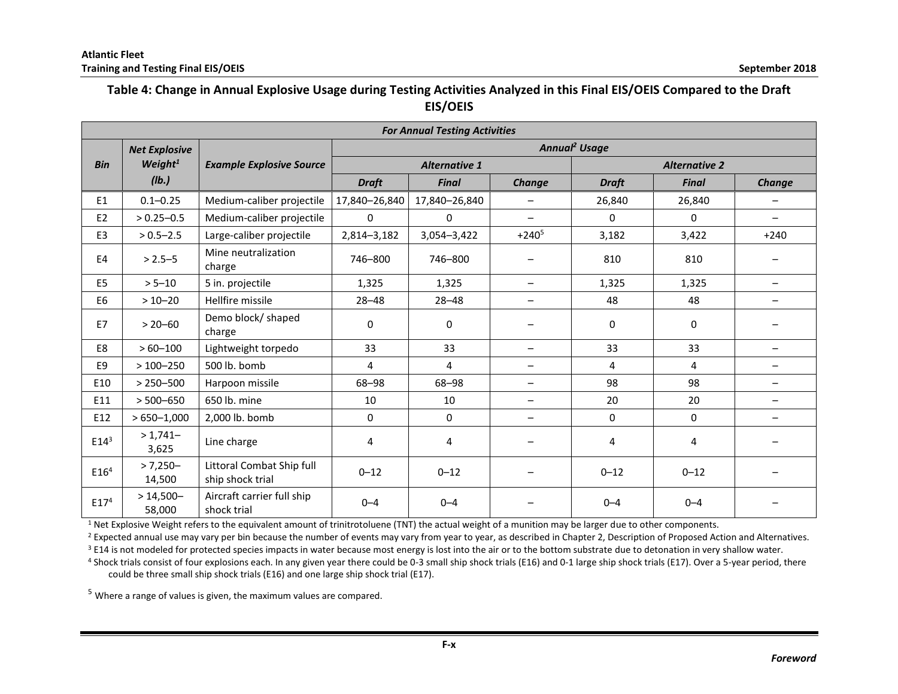### **Table 4: Change in Annual Explosive Usage during Testing Activities Analyzed in this Final EIS/OEIS Compared to the Draft EIS/OEIS**

|                  | <b>For Annual Testing Activities</b> |                                               |                           |                      |                          |                      |              |                          |  |  |  |
|------------------|--------------------------------------|-----------------------------------------------|---------------------------|----------------------|--------------------------|----------------------|--------------|--------------------------|--|--|--|
|                  | <b>Net Explosive</b>                 |                                               | Annual <sup>2</sup> Usage |                      |                          |                      |              |                          |  |  |  |
| <b>Bin</b>       | Weight <sup>1</sup>                  | <b>Example Explosive Source</b>               |                           | <b>Alternative 1</b> |                          | <b>Alternative 2</b> |              |                          |  |  |  |
|                  | (1b.)                                |                                               | <b>Draft</b>              | <b>Final</b>         | Change                   | <b>Draft</b>         | <b>Final</b> | <b>Change</b>            |  |  |  |
| E1               | $0.1 - 0.25$                         | Medium-caliber projectile                     | 17,840-26,840             | 17,840-26,840        |                          | 26,840               | 26,840       |                          |  |  |  |
| E <sub>2</sub>   | $> 0.25 - 0.5$                       | Medium-caliber projectile                     | 0                         | $\mathbf{0}$         | $\overline{\phantom{m}}$ | $\mathbf{0}$         | 0            | $\overline{\phantom{m}}$ |  |  |  |
| E3               | $> 0.5 - 2.5$                        | Large-caliber projectile                      | 2,814-3,182               | 3,054-3,422          | $+240^{5}$               | 3,182                | 3,422        | $+240$                   |  |  |  |
| E4               | $> 2.5 - 5$                          | Mine neutralization<br>charge                 | 746-800                   | 746-800              |                          | 810                  | 810          |                          |  |  |  |
| E <sub>5</sub>   | $> 5 - 10$                           | 5 in. projectile                              | 1,325                     | 1,325                | $-$                      | 1,325                | 1,325        | $\overline{\phantom{0}}$ |  |  |  |
| E6               | $>10 - 20$                           | Hellfire missile                              | $28 - 48$                 | $28 - 48$            | -                        | 48                   | 48           |                          |  |  |  |
| E7               | $> 20 - 60$                          | Demo block/ shaped<br>charge                  | 0                         | $\mathbf{0}$         |                          | 0                    | 0            |                          |  |  |  |
| E8               | $>60 - 100$                          | Lightweight torpedo                           | 33                        | 33                   | $-$                      | 33                   | 33           |                          |  |  |  |
| E9               | $>100 - 250$                         | 500 lb. bomb                                  | 4                         | 4                    | $\qquad \qquad -$        | 4                    | 4            | $\overline{\phantom{m}}$ |  |  |  |
| E10              | $> 250 - 500$                        | Harpoon missile                               | 68-98                     | 68-98                | $\qquad \qquad -$        | 98                   | 98           | $\overline{\phantom{m}}$ |  |  |  |
| E11              | $> 500 - 650$                        | 650 lb. mine                                  | 10                        | 10                   | $\qquad \qquad -$        | 20                   | 20           | $\qquad \qquad$          |  |  |  |
| E12              | $>650 - 1,000$                       | 2.000 lb. bomb                                | $\mathbf 0$               | $\mathbf 0$          |                          | $\mathbf 0$          | 0            |                          |  |  |  |
| $E14^3$          | $>1,741-$<br>3,625                   | Line charge                                   | 4                         | 4                    |                          | 4                    | 4            |                          |  |  |  |
| E16 <sup>4</sup> | $> 7,250-$<br>14,500                 | Littoral Combat Ship full<br>ship shock trial | $0 - 12$                  | $0 - 12$             |                          | $0 - 12$             | $0 - 12$     |                          |  |  |  |
| E17 <sup>4</sup> | $>14,500-$<br>58,000                 | Aircraft carrier full ship<br>shock trial     | $0 - 4$                   | $0 - 4$              |                          | $0 - 4$              | $0 - 4$      |                          |  |  |  |

 $1$  Net Explosive Weight refers to the equivalent amount of trinitrotoluene (TNT) the actual weight of a munition may be larger due to other components.

<sup>2</sup> Expected annual use may vary per bin because the number of events may vary from year to year, as described in Chapter 2, Description of Proposed Action and Alternatives.

<sup>3</sup> E14 is not modeled for protected species impacts in water because most energy is lost into the air or to the bottom substrate due to detonation in very shallow water.

4 Shock trials consist of four explosions each. In any given year there could be 0-3 small ship shock trials (E16) and 0-1 large ship shock trials (E17). Over a 5-year period, there could be three small ship shock trials (E16) and one large ship shock trial (E17).

 $5$  Where a range of values is given, the maximum values are compared.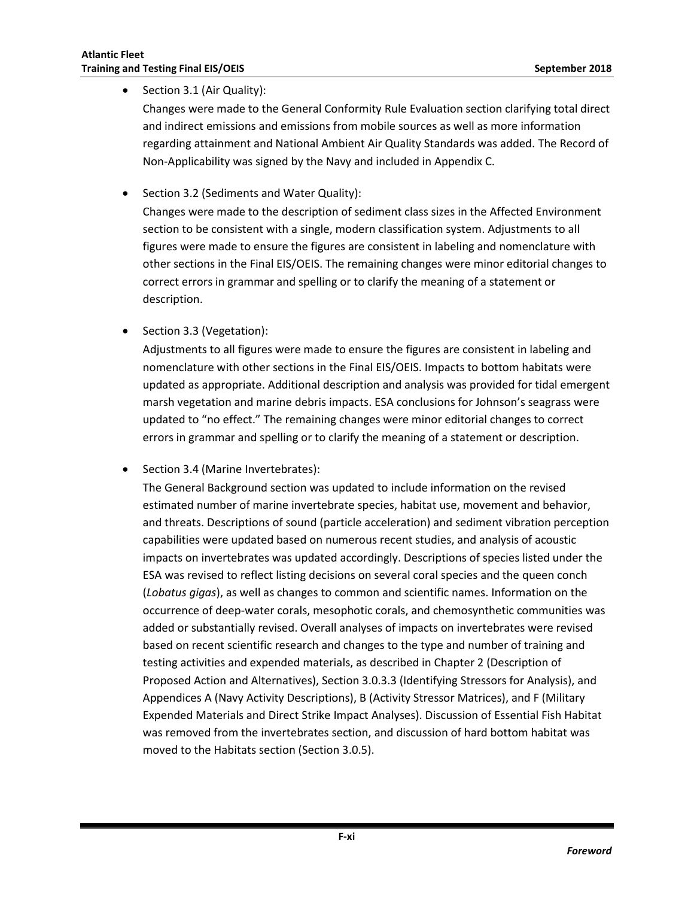• Section 3.1 (Air Quality):

Changes were made to the General Conformity Rule Evaluation section clarifying total direct and indirect emissions and emissions from mobile sources as well as more information regarding attainment and National Ambient Air Quality Standards was added. The Record of Non-Applicability was signed by the Navy and included in Appendix C.

• Section 3.2 (Sediments and Water Quality):

Changes were made to the description of sediment class sizes in the Affected Environment section to be consistent with a single, modern classification system. Adjustments to all figures were made to ensure the figures are consistent in labeling and nomenclature with other sections in the Final EIS/OEIS. The remaining changes were minor editorial changes to correct errors in grammar and spelling or to clarify the meaning of a statement or description.

• Section 3.3 (Vegetation):

Adjustments to all figures were made to ensure the figures are consistent in labeling and nomenclature with other sections in the Final EIS/OEIS. Impacts to bottom habitats were updated as appropriate. Additional description and analysis was provided for tidal emergent marsh vegetation and marine debris impacts. ESA conclusions for Johnson's seagrass were updated to "no effect." The remaining changes were minor editorial changes to correct errors in grammar and spelling or to clarify the meaning of a statement or description.

• Section 3.4 (Marine Invertebrates):

The General Background section was updated to include information on the revised estimated number of marine invertebrate species, habitat use, movement and behavior, and threats. Descriptions of sound (particle acceleration) and sediment vibration perception capabilities were updated based on numerous recent studies, and analysis of acoustic impacts on invertebrates was updated accordingly. Descriptions of species listed under the ESA was revised to reflect listing decisions on several coral species and the queen conch (*Lobatus gigas*), as well as changes to common and scientific names. Information on the occurrence of deep-water corals, mesophotic corals, and chemosynthetic communities was added or substantially revised. Overall analyses of impacts on invertebrates were revised based on recent scientific research and changes to the type and number of training and testing activities and expended materials, as described in Chapter 2 (Description of Proposed Action and Alternatives), Section 3.0.3.3 (Identifying Stressors for Analysis), and Appendices A (Navy Activity Descriptions), B (Activity Stressor Matrices), and F (Military Expended Materials and Direct Strike Impact Analyses). Discussion of Essential Fish Habitat was removed from the invertebrates section, and discussion of hard bottom habitat was moved to the Habitats section (Section 3.0.5).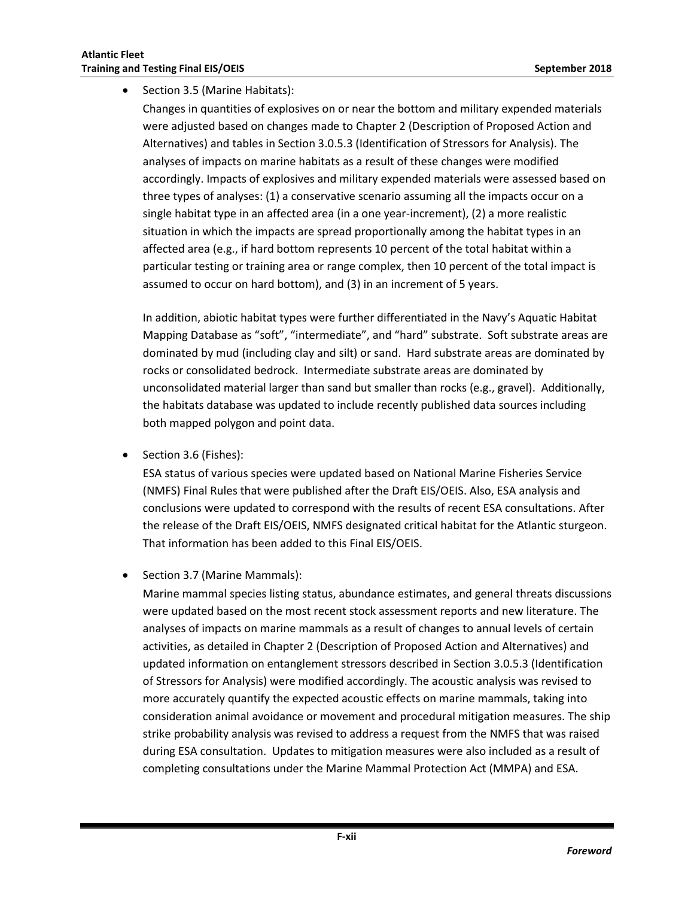• Section 3.5 (Marine Habitats):

Changes in quantities of explosives on or near the bottom and military expended materials were adjusted based on changes made to Chapter 2 (Description of Proposed Action and Alternatives) and tables in Section 3.0.5.3 (Identification of Stressors for Analysis). The analyses of impacts on marine habitats as a result of these changes were modified accordingly. Impacts of explosives and military expended materials were assessed based on three types of analyses: (1) a conservative scenario assuming all the impacts occur on a single habitat type in an affected area (in a one year-increment), (2) a more realistic situation in which the impacts are spread proportionally among the habitat types in an affected area (e.g., if hard bottom represents 10 percent of the total habitat within a particular testing or training area or range complex, then 10 percent of the total impact is assumed to occur on hard bottom), and (3) in an increment of 5 years.

In addition, abiotic habitat types were further differentiated in the Navy's Aquatic Habitat Mapping Database as "soft", "intermediate", and "hard" substrate. Soft substrate areas are dominated by mud (including clay and silt) or sand. Hard substrate areas are dominated by rocks or consolidated bedrock. Intermediate substrate areas are dominated by unconsolidated material larger than sand but smaller than rocks (e.g., gravel). Additionally, the habitats database was updated to include recently published data sources including both mapped polygon and point data.

Section 3.6 (Fishes):

ESA status of various species were updated based on National Marine Fisheries Service (NMFS) Final Rules that were published after the Draft EIS/OEIS. Also, ESA analysis and conclusions were updated to correspond with the results of recent ESA consultations. After the release of the Draft EIS/OEIS, NMFS designated critical habitat for the Atlantic sturgeon. That information has been added to this Final EIS/OEIS.

• Section 3.7 (Marine Mammals):

Marine mammal species listing status, abundance estimates, and general threats discussions were updated based on the most recent stock assessment reports and new literature. The analyses of impacts on marine mammals as a result of changes to annual levels of certain activities, as detailed in Chapter 2 (Description of Proposed Action and Alternatives) and updated information on entanglement stressors described in Section 3.0.5.3 (Identification of Stressors for Analysis) were modified accordingly. The acoustic analysis was revised to more accurately quantify the expected acoustic effects on marine mammals, taking into consideration animal avoidance or movement and procedural mitigation measures. The ship strike probability analysis was revised to address a request from the NMFS that was raised during ESA consultation. Updates to mitigation measures were also included as a result of completing consultations under the Marine Mammal Protection Act (MMPA) and ESA.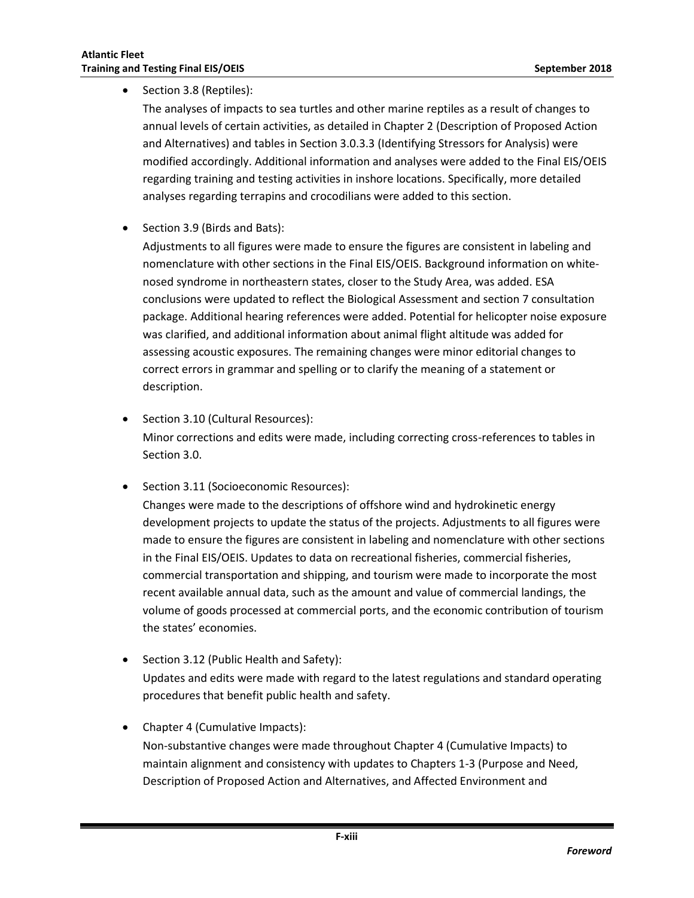#### • Section 3.8 (Reptiles):

The analyses of impacts to sea turtles and other marine reptiles as a result of changes to annual levels of certain activities, as detailed in Chapter 2 (Description of Proposed Action and Alternatives) and tables in Section 3.0.3.3 (Identifying Stressors for Analysis) were modified accordingly. Additional information and analyses were added to the Final EIS/OEIS regarding training and testing activities in inshore locations. Specifically, more detailed analyses regarding terrapins and crocodilians were added to this section.

Section 3.9 (Birds and Bats):

Adjustments to all figures were made to ensure the figures are consistent in labeling and nomenclature with other sections in the Final EIS/OEIS. Background information on whitenosed syndrome in northeastern states, closer to the Study Area, was added. ESA conclusions were updated to reflect the Biological Assessment and section 7 consultation package. Additional hearing references were added. Potential for helicopter noise exposure was clarified, and additional information about animal flight altitude was added for assessing acoustic exposures. The remaining changes were minor editorial changes to correct errors in grammar and spelling or to clarify the meaning of a statement or description.

- Section 3.10 (Cultural Resources): Minor corrections and edits were made, including correcting cross-references to tables in Section 3.0.
- Section 3.11 (Socioeconomic Resources):

Changes were made to the descriptions of offshore wind and hydrokinetic energy development projects to update the status of the projects. Adjustments to all figures were made to ensure the figures are consistent in labeling and nomenclature with other sections in the Final EIS/OEIS. Updates to data on recreational fisheries, commercial fisheries, commercial transportation and shipping, and tourism were made to incorporate the most recent available annual data, such as the amount and value of commercial landings, the volume of goods processed at commercial ports, and the economic contribution of tourism the states' economies.

- Section 3.12 (Public Health and Safety): Updates and edits were made with regard to the latest regulations and standard operating procedures that benefit public health and safety.
- Chapter 4 (Cumulative Impacts): Non-substantive changes were made throughout Chapter 4 (Cumulative Impacts) to maintain alignment and consistency with updates to Chapters 1-3 (Purpose and Need, Description of Proposed Action and Alternatives, and Affected Environment and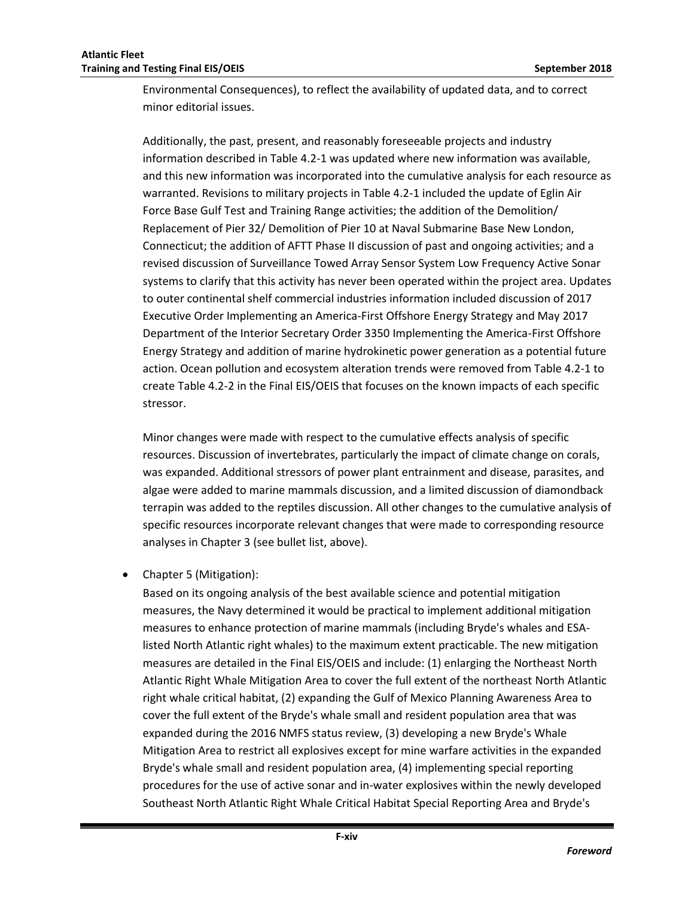Environmental Consequences), to reflect the availability of updated data, and to correct minor editorial issues.

Additionally, the past, present, and reasonably foreseeable projects and industry information described in Table 4.2-1 was updated where new information was available, and this new information was incorporated into the cumulative analysis for each resource as warranted. Revisions to military projects in Table 4.2-1 included the update of Eglin Air Force Base Gulf Test and Training Range activities; the addition of the Demolition/ Replacement of Pier 32/ Demolition of Pier 10 at Naval Submarine Base New London, Connecticut; the addition of AFTT Phase II discussion of past and ongoing activities; and a revised discussion of Surveillance Towed Array Sensor System Low Frequency Active Sonar systems to clarify that this activity has never been operated within the project area. Updates to outer continental shelf commercial industries information included discussion of 2017 Executive Order Implementing an America-First Offshore Energy Strategy and May 2017 Department of the Interior Secretary Order 3350 Implementing the America-First Offshore Energy Strategy and addition of marine hydrokinetic power generation as a potential future action. Ocean pollution and ecosystem alteration trends were removed from Table 4.2-1 to create Table 4.2-2 in the Final EIS/OEIS that focuses on the known impacts of each specific stressor.

Minor changes were made with respect to the cumulative effects analysis of specific resources. Discussion of invertebrates, particularly the impact of climate change on corals, was expanded. Additional stressors of power plant entrainment and disease, parasites, and algae were added to marine mammals discussion, and a limited discussion of diamondback terrapin was added to the reptiles discussion. All other changes to the cumulative analysis of specific resources incorporate relevant changes that were made to corresponding resource analyses in Chapter 3 (see bullet list, above).

Chapter 5 (Mitigation):

Based on its ongoing analysis of the best available science and potential mitigation measures, the Navy determined it would be practical to implement additional mitigation measures to enhance protection of marine mammals (including Bryde's whales and ESAlisted North Atlantic right whales) to the maximum extent practicable. The new mitigation measures are detailed in the Final EIS/OEIS and include: (1) enlarging the Northeast North Atlantic Right Whale Mitigation Area to cover the full extent of the northeast North Atlantic right whale critical habitat, (2) expanding the Gulf of Mexico Planning Awareness Area to cover the full extent of the Bryde's whale small and resident population area that was expanded during the 2016 NMFS status review, (3) developing a new Bryde's Whale Mitigation Area to restrict all explosives except for mine warfare activities in the expanded Bryde's whale small and resident population area, (4) implementing special reporting procedures for the use of active sonar and in-water explosives within the newly developed Southeast North Atlantic Right Whale Critical Habitat Special Reporting Area and Bryde's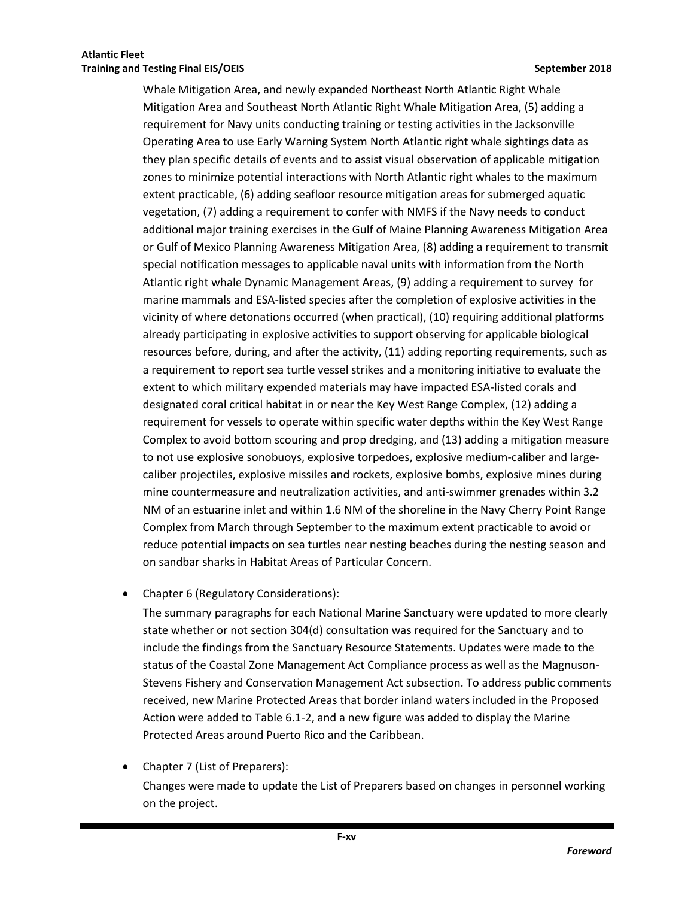Whale Mitigation Area, and newly expanded Northeast North Atlantic Right Whale Mitigation Area and Southeast North Atlantic Right Whale Mitigation Area, (5) adding a requirement for Navy units conducting training or testing activities in the Jacksonville Operating Area to use Early Warning System North Atlantic right whale sightings data as they plan specific details of events and to assist visual observation of applicable mitigation zones to minimize potential interactions with North Atlantic right whales to the maximum extent practicable, (6) adding seafloor resource mitigation areas for submerged aquatic vegetation, (7) adding a requirement to confer with NMFS if the Navy needs to conduct additional major training exercises in the Gulf of Maine Planning Awareness Mitigation Area or Gulf of Mexico Planning Awareness Mitigation Area, (8) adding a requirement to transmit special notification messages to applicable naval units with information from the North Atlantic right whale Dynamic Management Areas, (9) adding a requirement to survey for marine mammals and ESA-listed species after the completion of explosive activities in the vicinity of where detonations occurred (when practical), (10) requiring additional platforms already participating in explosive activities to support observing for applicable biological resources before, during, and after the activity, (11) adding reporting requirements, such as a requirement to report sea turtle vessel strikes and a monitoring initiative to evaluate the extent to which military expended materials may have impacted ESA-listed corals and designated coral critical habitat in or near the Key West Range Complex, (12) adding a requirement for vessels to operate within specific water depths within the Key West Range Complex to avoid bottom scouring and prop dredging, and (13) adding a mitigation measure to not use explosive sonobuoys, explosive torpedoes, explosive medium-caliber and largecaliber projectiles, explosive missiles and rockets, explosive bombs, explosive mines during mine countermeasure and neutralization activities, and anti-swimmer grenades within 3.2 NM of an estuarine inlet and within 1.6 NM of the shoreline in the Navy Cherry Point Range Complex from March through September to the maximum extent practicable to avoid or reduce potential impacts on sea turtles near nesting beaches during the nesting season and on sandbar sharks in Habitat Areas of Particular Concern.

Chapter 6 (Regulatory Considerations):

The summary paragraphs for each National Marine Sanctuary were updated to more clearly state whether or not section 304(d) consultation was required for the Sanctuary and to include the findings from the Sanctuary Resource Statements. Updates were made to the status of the Coastal Zone Management Act Compliance process as well as the Magnuson-Stevens Fishery and Conservation Management Act subsection. To address public comments received, new Marine Protected Areas that border inland waters included in the Proposed Action were added to Table 6.1-2, and a new figure was added to display the Marine Protected Areas around Puerto Rico and the Caribbean.

 Chapter 7 (List of Preparers): Changes were made to update the List of Preparers based on changes in personnel working on the project.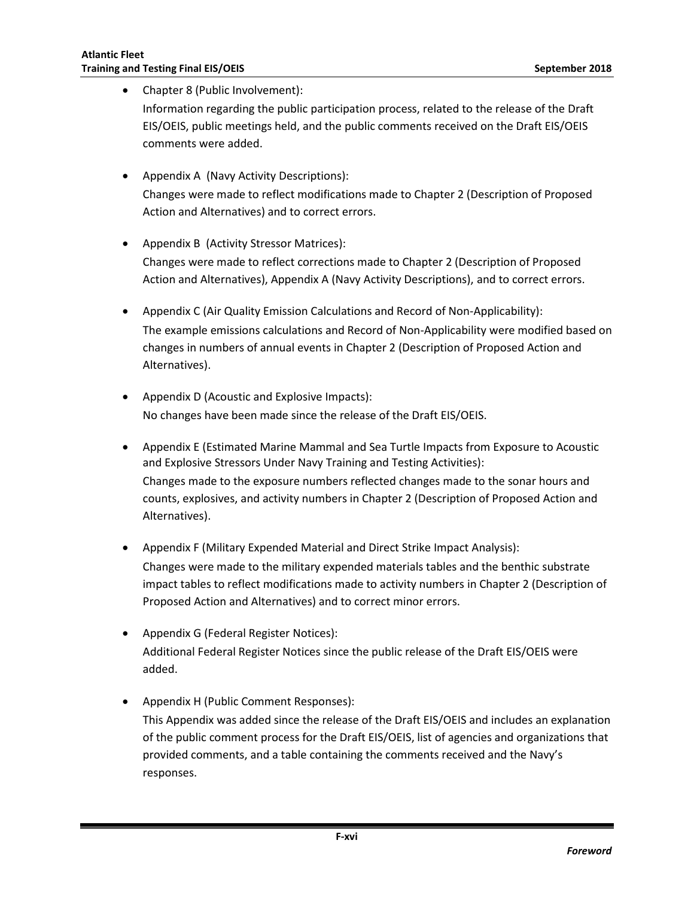Chapter 8 (Public Involvement): Information regarding the public participation process, related to the release of the Draft EIS/OEIS, public meetings held, and the public comments received on the Draft EIS/OEIS comments were added.

- Appendix A (Navy Activity Descriptions): Changes were made to reflect modifications made to Chapter 2 (Description of Proposed Action and Alternatives) and to correct errors.
- Appendix B (Activity Stressor Matrices): Changes were made to reflect corrections made to Chapter 2 (Description of Proposed Action and Alternatives), Appendix A (Navy Activity Descriptions), and to correct errors.
- Appendix C (Air Quality Emission Calculations and Record of Non-Applicability): The example emissions calculations and Record of Non-Applicability were modified based on changes in numbers of annual events in Chapter 2 (Description of Proposed Action and Alternatives).
- Appendix D (Acoustic and Explosive Impacts): No changes have been made since the release of the Draft EIS/OEIS.
- Appendix E (Estimated Marine Mammal and Sea Turtle Impacts from Exposure to Acoustic and Explosive Stressors Under Navy Training and Testing Activities): Changes made to the exposure numbers reflected changes made to the sonar hours and counts, explosives, and activity numbers in Chapter 2 (Description of Proposed Action and Alternatives).
- Appendix F (Military Expended Material and Direct Strike Impact Analysis): Changes were made to the military expended materials tables and the benthic substrate impact tables to reflect modifications made to activity numbers in Chapter 2 (Description of Proposed Action and Alternatives) and to correct minor errors.
- Appendix G (Federal Register Notices): Additional Federal Register Notices since the public release of the Draft EIS/OEIS were added.
- Appendix H (Public Comment Responses): This Appendix was added since the release of the Draft EIS/OEIS and includes an explanation of the public comment process for the Draft EIS/OEIS, list of agencies and organizations that provided comments, and a table containing the comments received and the Navy's responses.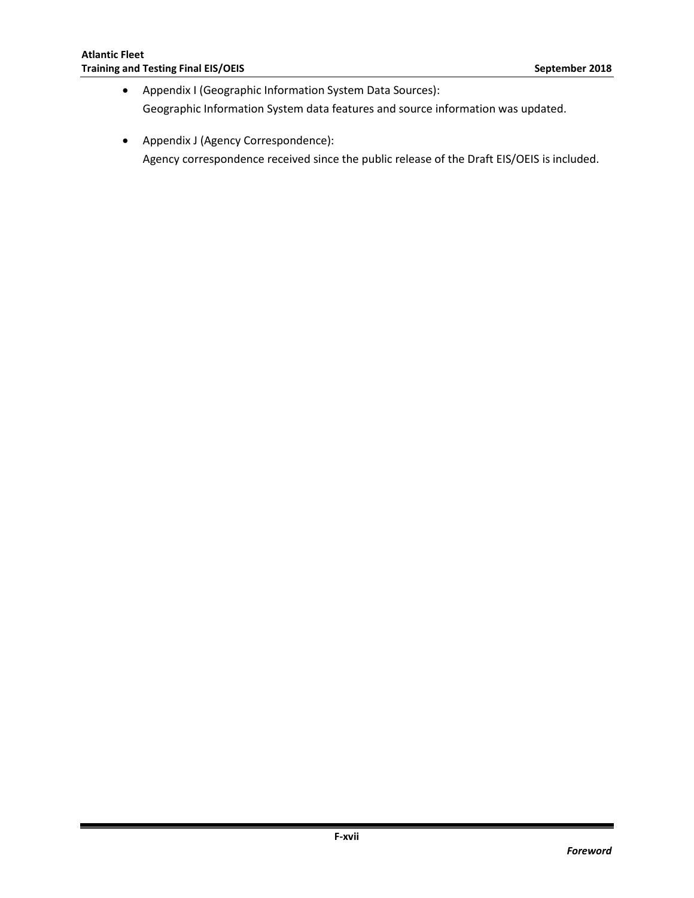- Appendix I (Geographic Information System Data Sources): Geographic Information System data features and source information was updated.
- Appendix J (Agency Correspondence): Agency correspondence received since the public release of the Draft EIS/OEIS is included.